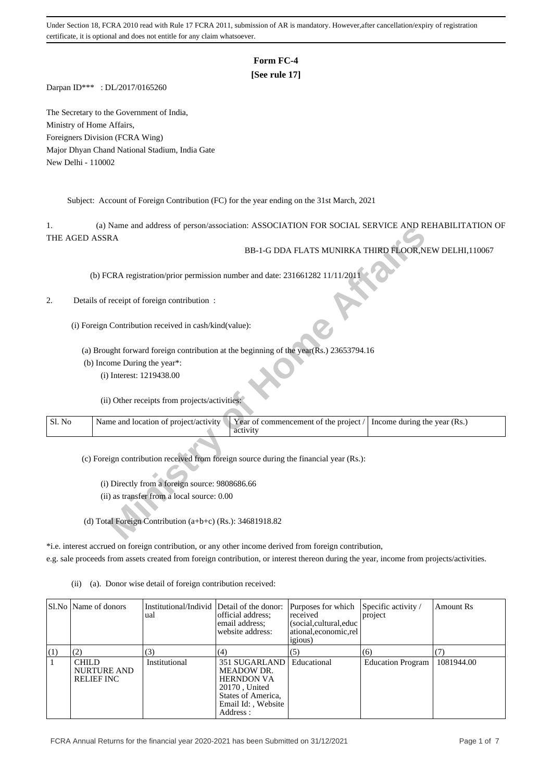## **Form FC-4**

# **[See rule 17]**

Darpan ID\*\*\* : DL/2017/0165260

The Secretary to the Government of India, Ministry of Home Affairs, Foreigners Division (FCRA Wing) Major Dhyan Chand National Stadium, India Gate New Delhi - 110002

Subject: Account of Foreign Contribution (FC) for the year ending on the 31st March, 2021

1. (a) Name and address of person/association: ASSOCIATION FOR SOCIAL SERVICE AND REHABILITATION OF THE AGED ASSRA

### 2. Details of receipt of foreign contribution :

|        | (a) IValue and address of person/association. ASSOCIATION FOR SOCIAL SERVICE AND REHABILITATION OF             |  |
|--------|----------------------------------------------------------------------------------------------------------------|--|
|        | THE AGED ASSRA                                                                                                 |  |
|        | BB-1-G DDA FLATS MUNIRKA THIRD FLOOR, NEW DELHI, 110067                                                        |  |
|        |                                                                                                                |  |
|        |                                                                                                                |  |
|        | (b) FCRA registration/prior permission number and date: 231661282 11/11/2011                                   |  |
|        |                                                                                                                |  |
| 2.     | Details of receipt of foreign contribution:                                                                    |  |
|        |                                                                                                                |  |
|        |                                                                                                                |  |
|        | (i) Foreign Contribution received in cash/kind(value):                                                         |  |
|        |                                                                                                                |  |
|        | (a) Brought forward foreign contribution at the beginning of the year(Rs.) $23653794.16$                       |  |
|        |                                                                                                                |  |
|        | (b) Income During the year*:                                                                                   |  |
|        | (i) Interest: 1219438.00                                                                                       |  |
|        |                                                                                                                |  |
|        | (ii) Other receipts from projects/activities:                                                                  |  |
|        |                                                                                                                |  |
| Sl. No | Name and location of project/activity<br>Year of commencement of the project /<br>Income during the year (Rs.) |  |
|        | activity                                                                                                       |  |
|        |                                                                                                                |  |
|        |                                                                                                                |  |
|        | (c) Foreign contribution received from foreign source during the financial year (Rs.):                         |  |
|        |                                                                                                                |  |
|        |                                                                                                                |  |
|        | (i) Directly from a foreign source: 9808686.66                                                                 |  |
|        | (ii) as transfer from a local source: 0.00                                                                     |  |
|        |                                                                                                                |  |
|        | (d) Total Foreign Contribution $(a+b+c)$ (Rs.): 34681918.82                                                    |  |
|        |                                                                                                                |  |
|        |                                                                                                                |  |

\*i.e. interest accrued on foreign contribution, or any other income derived from foreign contribution,

e.g. sale proceeds from assets created from foreign contribution, or interest thereon during the year, income from projects/activities.

(ii) (a). Donor wise detail of foreign contribution received:

|     | SI.No   Name of donors                                  | Institutional/Individ Detail of the donor:<br>ual | official address:<br>email address:<br>website address:                                                                   | Purposes for which<br>received<br>(social, cultural, educ<br>ational, economic, rel<br><i>igious</i> ) | Specific activity /<br>project | Amount Rs  |
|-----|---------------------------------------------------------|---------------------------------------------------|---------------------------------------------------------------------------------------------------------------------------|--------------------------------------------------------------------------------------------------------|--------------------------------|------------|
| (1) | (2)                                                     | (3)                                               | (4)                                                                                                                       | (5)                                                                                                    | (6)                            |            |
|     | <b>CHILD</b><br><b>NURTURE AND</b><br><b>RELIEF INC</b> | Institutional                                     | 351 SUGARLAND<br>MEADOW DR.<br><b>HERNDON VA</b><br>20170, United<br>States of America,<br>Email Id:, Website<br>Address: | Educational                                                                                            | <b>Education Program</b>       | 1081944.00 |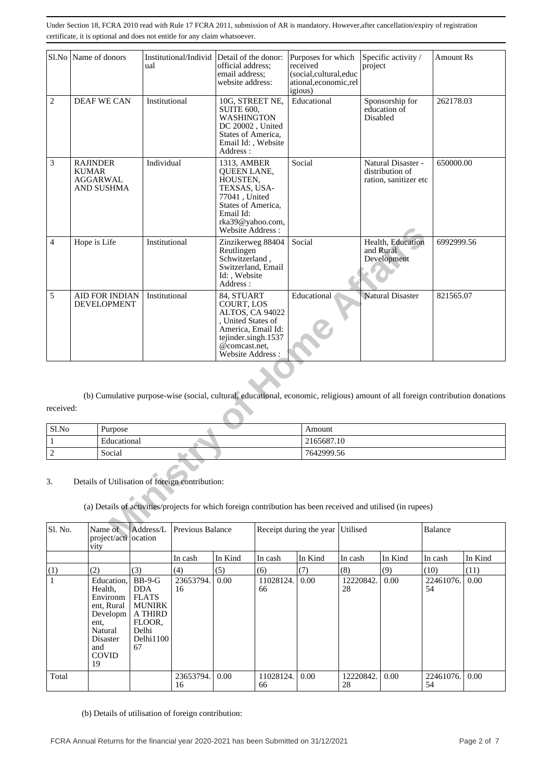|                | Sl.No Name of donors            |                                             | Institutional/Individ Detail of the donor:<br>ual                                                                                                               | official address;<br>email address:<br>website address:                                                                                                   | igious) | Purposes for which<br>received<br>(social,cultural,educ<br>ational,economic,rel |          | Specific activity /<br>project                                 | Amount Rs                                                                                                                     |
|----------------|---------------------------------|---------------------------------------------|-----------------------------------------------------------------------------------------------------------------------------------------------------------------|-----------------------------------------------------------------------------------------------------------------------------------------------------------|---------|---------------------------------------------------------------------------------|----------|----------------------------------------------------------------|-------------------------------------------------------------------------------------------------------------------------------|
| $\overline{c}$ |                                 | <b>DEAF WE CAN</b>                          | Institutional                                                                                                                                                   | 10G, STREET NE,<br><b>SUITE 600,</b><br><b>WASHINGTON</b><br>DC 20002, United<br>States of America,<br>Email Id:, Website<br>Address:                     |         | Educational                                                                     |          | Sponsorship for<br>education of<br>Disabled                    | 262178.03                                                                                                                     |
| 3              | <b>RAJINDER</b><br><b>KUMAR</b> | AGGARWAL<br>AND SUSHMA                      | Individual                                                                                                                                                      | 1313, AMBER<br><b>OUEEN LANE.</b><br>HOUSTEN,<br>TEXSAS, USA-<br>77041, United<br>States of America,<br>Email Id:<br>rka39@yahoo.com,<br>Website Address: |         | Social                                                                          |          | Natural Disaster -<br>distribution of<br>ration, sanitizer etc | 650000.00                                                                                                                     |
| 4              | Hope is Life                    |                                             | Institutional                                                                                                                                                   | Zinzikerweg 88404<br>Reutlingen<br>Schwitzerland,<br>Switzerland, Email<br>Id: Website<br>Address:                                                        |         | Social                                                                          |          | Health, Education<br>and Rural<br>Development                  | 6992999.56                                                                                                                    |
| 5              |                                 | <b>AID FOR INDIAN</b><br><b>DEVELOPMENT</b> | Institutional                                                                                                                                                   | 84, STUART<br>COURT, LOS<br>ALTOS, CA 94022<br>, United States of<br>America, Email Id:<br>tejinder.singh.1537<br>@comcast.net,<br>Website Address:       |         | Educational                                                                     |          | <b>Natural Disaster</b>                                        | 821565.07                                                                                                                     |
|                |                                 |                                             |                                                                                                                                                                 |                                                                                                                                                           |         |                                                                                 |          |                                                                |                                                                                                                               |
|                |                                 |                                             |                                                                                                                                                                 |                                                                                                                                                           |         |                                                                                 |          |                                                                | (b) Cumulative purpose-wise (social, cultural, educational, economic, religious) amount of all foreign contribution donations |
| received:      |                                 |                                             |                                                                                                                                                                 |                                                                                                                                                           |         |                                                                                 |          |                                                                |                                                                                                                               |
| Sl.No          |                                 | Purpose                                     |                                                                                                                                                                 |                                                                                                                                                           |         | Amount                                                                          |          |                                                                |                                                                                                                               |
| $\mathbf{1}$   |                                 | Educational                                 |                                                                                                                                                                 |                                                                                                                                                           |         | 2165687.10                                                                      |          |                                                                |                                                                                                                               |
| $\sqrt{2}$     |                                 | Social                                      |                                                                                                                                                                 |                                                                                                                                                           |         | 7642999.56                                                                      |          |                                                                |                                                                                                                               |
| 3.             |                                 |                                             | Details of Utilisation of foreign contribution:<br>(a) Details of activities/projects for which foreign contribution has been received and utilised (in rupees) |                                                                                                                                                           |         |                                                                                 |          |                                                                |                                                                                                                               |
| Sl. No.        |                                 | Name of<br>project/acti ocation             | Previous Balance<br>Address/L                                                                                                                                   |                                                                                                                                                           |         | Receipt during the year                                                         | Utilised |                                                                | Balance                                                                                                                       |

| Sl.No | Purpose          | Amount     |
|-------|------------------|------------|
|       | Educational      | 2165687.10 |
| -     | Social<br>$\sim$ | 7642999.56 |

| Sl. No. | Name of<br>project/acti ocation<br>vity                                                                                 | Address/L                                                                                                       | Previous Balance |         | Receipt during the year Utilised<br>Balance |         |                 |         |                 |         |  |
|---------|-------------------------------------------------------------------------------------------------------------------------|-----------------------------------------------------------------------------------------------------------------|------------------|---------|---------------------------------------------|---------|-----------------|---------|-----------------|---------|--|
|         |                                                                                                                         |                                                                                                                 | In cash          | In Kind | ∣In cash                                    | In Kind | In cash         | In Kind | In cash         | In Kind |  |
| (1)     | (2)                                                                                                                     | (3)                                                                                                             | (4)              | (5)     | (6)                                         | (7)     | (8)             | (9)     | (10)            | (11)    |  |
|         | Education,<br>Health,<br>Environm<br>ent, Rural<br>Developm<br>ent,<br>Natural<br>Disaster<br>and<br><b>COVID</b><br>19 | $BB-9-G$<br><b>DDA</b><br><b>FLATS</b><br><b>MUNIRK</b><br><b>A THIRD</b><br>FLOOR.<br>Delhi<br>Delhi1100<br>67 | 23653794.<br>16  | 0.00    | 11028124.<br>66                             | 0.00    | 12220842.<br>28 | 0.00    | 22461076.<br>54 | 0.00    |  |
| Total   |                                                                                                                         |                                                                                                                 | 23653794.<br>16  | 0.00    | 11028124.<br>66                             | 0.00    | 12220842.<br>28 | 0.00    | 22461076.<br>54 | 0.00    |  |

(b) Details of utilisation of foreign contribution: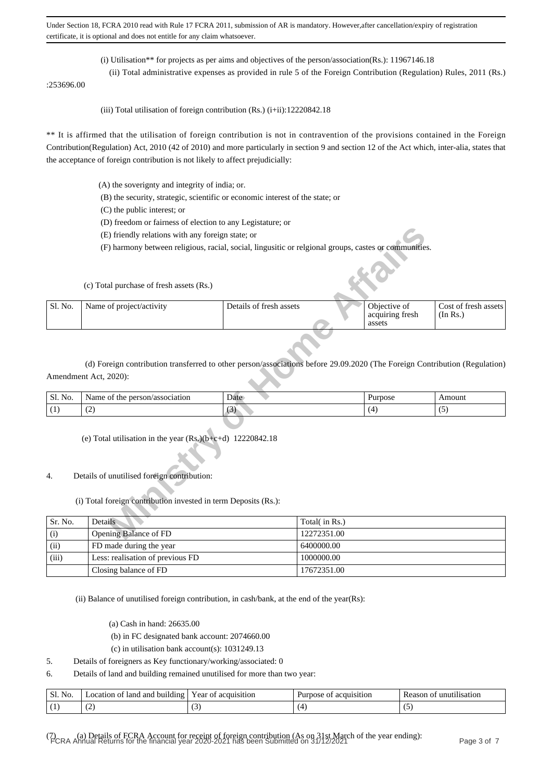(i) Utilisation\*\* for projects as per aims and objectives of the person/association(Rs.): 11967146.18

(ii) Total administrative expenses as provided in rule 5 of the Foreign Contribution (Regulation) Rules, 2011 (Rs.)

:253696.00

(iii) Total utilisation of foreign contribution  $(Rs.)$  (i+ii):12220842.18

\*\* It is affirmed that the utilisation of foreign contribution is not in contravention of the provisions contained in the Foreign Contribution(Regulation) Act, 2010 (42 of 2010) and more particularly in section 9 and section 12 of the Act which, inter-alia, states that the acceptance of foreign contribution is not likely to affect prejudicially:

- (A) the soverignty and integrity of india; or.
- (B) the security, strategic, scientific or economic interest of the state; or
- (C) the public interest; or
- (D) freedom or fairness of election to any Legistature; or
- (E) friendly relations with any foreign state; or

|         | (E) friendly relations with any foreign state; or                                                                                                   |                         |               |                                           |                                  |
|---------|-----------------------------------------------------------------------------------------------------------------------------------------------------|-------------------------|---------------|-------------------------------------------|----------------------------------|
|         | (F) harmony between religious, racial, social, lingusitic or relgional groups, castes or communities.                                               |                         |               |                                           |                                  |
|         | (c) Total purchase of fresh assets (Rs.)                                                                                                            |                         |               |                                           |                                  |
| Sl. No. | Name of project/activity                                                                                                                            | Details of fresh assets |               | Objective of<br>acquiring fresh<br>assets | Cost of fresh assets<br>(In Rs.) |
|         | (d) Foreign contribution transferred to other person/associations before 29.09.2020 (The Foreign Contribution (Regulation)<br>Amendment Act, 2020): |                         |               |                                           |                                  |
| Sl. No. | Name of the person/association                                                                                                                      | Date                    |               | Purpose                                   | Amount                           |
| (1)     | (2)                                                                                                                                                 | (3)                     |               | (4)                                       | (5)                              |
|         | (e) Total utilisation in the year $(Rs.)(b+c+d)$ 12220842.18                                                                                        |                         |               |                                           |                                  |
| 4.      | Details of unutilised foreign contribution:                                                                                                         |                         |               |                                           |                                  |
|         | (i) Total foreign contribution invested in term Deposits (Rs.):                                                                                     |                         |               |                                           |                                  |
| Sr. No. | Details                                                                                                                                             |                         | Total(in Rs.) |                                           |                                  |
| (i)     | Opening Balance of FD                                                                                                                               |                         | 12272351.00   |                                           |                                  |

| $\mathbf{r}$<br>Sl.<br>No. | /association<br>person<br>Name<br>the<br>ΩŤ | Date   | <i>Purpose</i> | 2011122<br>.  110 UI 11 |
|----------------------------|---------------------------------------------|--------|----------------|-------------------------|
| . .                        | $\sim$<br>$\sim$                            | $\sim$ |                | . J                     |

#### 4. Details of unutilised foreign contribution:

### (i) Total foreign contribution invested in term Deposits (Rs.):

| Sr. No. | Details                          | Total( in Rs.) |
|---------|----------------------------------|----------------|
| (i)     | Opening Balance of FD            | 12272351.00    |
| (ii)    | FD made during the year          | 6400000.00     |
| (iii)   | Less: realisation of previous FD | 1000000.00     |
|         | Closing balance of FD            | 17672351.00    |

(ii) Balance of unutilised foreign contribution, in cash/bank, at the end of the year(Rs):

- (a) Cash in hand: 26635.00
- (b) in FC designated bank account: 2074660.00

(c) in utilisation bank account(s): 1031249.13

5. Details of foreigners as Key functionary/working/associated: 0

6. Details of land and building remained unutilised for more than two year:

| Sl.<br>No. | land<br>and<br>building<br>.ocation<br>ΩŤ | vear of.<br>acquisition | acquisition<br>Purnose<br>ΩŤ | *1l1sat10n<br>Reason<br>unut<br>$^{\prime}$ |
|------------|-------------------------------------------|-------------------------|------------------------------|---------------------------------------------|
|            | $\sim$                                    | ັ                       |                              | $\sim$                                      |

(7) (a) Details of FCRA Account for receipt of foreign contribution (As on 31st March of the year ending): FCRA Annual Returns for the financial year 2020-2021 has been Submitted on 31/12/2021 Page 3 of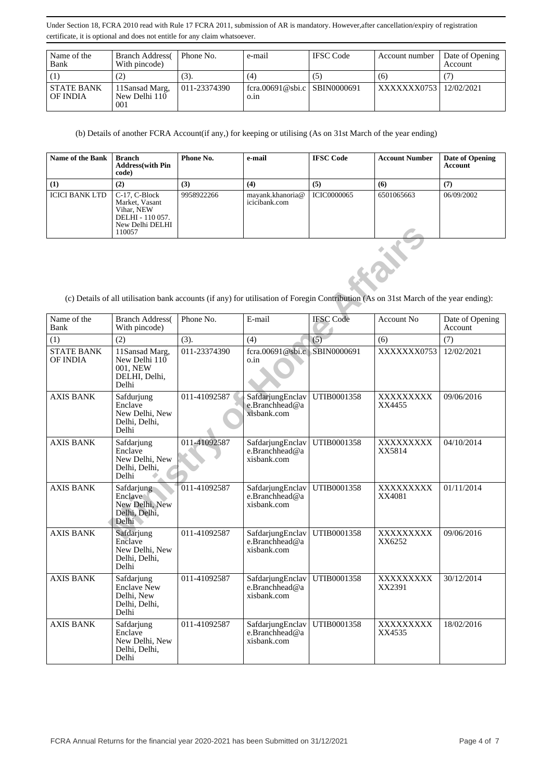| Name of the<br>Bank           | <b>Branch Address</b><br>With pincode) | Phone No.    | e-mail                               | <b>IFSC</b> Code | Account number           | Date of Opening<br>Account |
|-------------------------------|----------------------------------------|--------------|--------------------------------------|------------------|--------------------------|----------------------------|
|                               | (2)                                    | (3).         | (4)                                  | ( ح              | (6)                      |                            |
| <b>STATE BANK</b><br>OF INDIA | 11Sansad Marg,<br>New Delhi 110<br>001 | 011-23374390 | fcra.00691@sbi.c SBIN0000691<br>0.1n |                  | XXXXXXX0753   12/02/2021 |                            |

(b) Details of another FCRA Account(if any,) for keeping or utilising (As on 31st March of the year ending)

| <b>Name of the Bank</b> | Branch<br><b>Address</b> (with Pin<br>code)                                                         | Phone No.  | e-mail                            | <b>IFSC Code</b>   | <b>Account Number</b> | Date of Opening<br>Account |
|-------------------------|-----------------------------------------------------------------------------------------------------|------------|-----------------------------------|--------------------|-----------------------|----------------------------|
| (1)                     | (2)                                                                                                 | (3)        | (4)                               | (5)                | (6)                   | (7)                        |
| <b>ICICI BANK LTD</b>   | $C-17$ , $C-Block$<br>Market, Vasant<br>Vihar, NEW<br>DELHI - 110 057.<br>New Delhi DELHI<br>110057 | 9958922266 | mayank.khanoria@<br>icicibank.com | <b>ICIC0000065</b> | 6501065663            | 06/09/2002                 |

|                               | IWW DUIII DLLIII<br>110057                                               |              |                                                   |                  |                                                                                                                                      |                            |
|-------------------------------|--------------------------------------------------------------------------|--------------|---------------------------------------------------|------------------|--------------------------------------------------------------------------------------------------------------------------------------|----------------------------|
|                               |                                                                          |              |                                                   |                  | (c) Details of all utilisation bank accounts (if any) for utilisation of Foregin Contribution (As on 31st March of the year ending): |                            |
| Name of the<br>Bank           | <b>Branch Address</b><br>With pincode)                                   | Phone No.    | E-mail                                            | <b>IFSC Code</b> | Account No.                                                                                                                          | Date of Opening<br>Account |
| (1)                           | (2)                                                                      | (3).         | (4)                                               | (5)              | (6)                                                                                                                                  | (7)                        |
| <b>STATE BANK</b><br>OF INDIA | 11Sansad Marg,<br>New Delhi 110<br>001, NEW<br>DELHI, Delhi,<br>Delhi    | 011-23374390 | fcra.00691@sbi.c   SBIN0000691<br>o.in            |                  | XXXXXXX0753                                                                                                                          | 12/02/2021                 |
| <b>AXIS BANK</b>              | Safdurjung<br>Enclave<br>New Delhi, New<br>Delhi, Delhi,<br>Delhi        | 011-41092587 | SafdarjungEnclav<br>e.Branchhead@a<br>xisbank.com | UTIB0001358      | XXXXXXXXX<br>XX4455                                                                                                                  | 09/06/2016                 |
| <b>AXIS BANK</b>              | Safdarjung<br>Enclave<br>New Delhi, New<br>Delhi, Delhi,<br>Delhi        | 011-41092587 | SafdarjungEnclav<br>e.Branchhead@a<br>xisbank.com | UTIB0001358      | XXXXXXXX<br>XX5814                                                                                                                   | 04/10/2014                 |
| <b>AXIS BANK</b>              | Safdarjung<br>Enclave<br>New Delhi, New<br>Delhi, Delhi,<br>Delhi        | 011-41092587 | SafdarjungEnclav<br>e.Branchhead@a<br>xisbank.com | UTIB0001358      | XXXXXXXXX<br>XX4081                                                                                                                  | 01/11/2014                 |
| <b>AXIS BANK</b>              | Safdarjung<br>Enclave<br>New Delhi, New<br>Delhi, Delhi,<br>Delhi        | 011-41092587 | SafdarjungEnclav<br>e.Branchhead@a<br>xisbank.com | UTIB0001358      | XXXXXXXXX<br>XX6252                                                                                                                  | 09/06/2016                 |
| <b>AXIS BANK</b>              | Safdarjung<br><b>Enclave New</b><br>Delhi, New<br>Delhi, Delhi,<br>Delhi | 011-41092587 | SafdarjungEnclav<br>e.Branchhead@a<br>xisbank.com | UTIB0001358      | XXXXXXXXX<br>XX2391                                                                                                                  | 30/12/2014                 |
| <b>AXIS BANK</b>              | Safdarjung<br>Enclave<br>New Delhi, New<br>Delhi, Delhi,<br>Delhi        | 011-41092587 | SafdarjungEnclav<br>e.Branchhead@a<br>xisbank.com | UTIB0001358      | XXXXXXXXX<br>XX4535                                                                                                                  | 18/02/2016                 |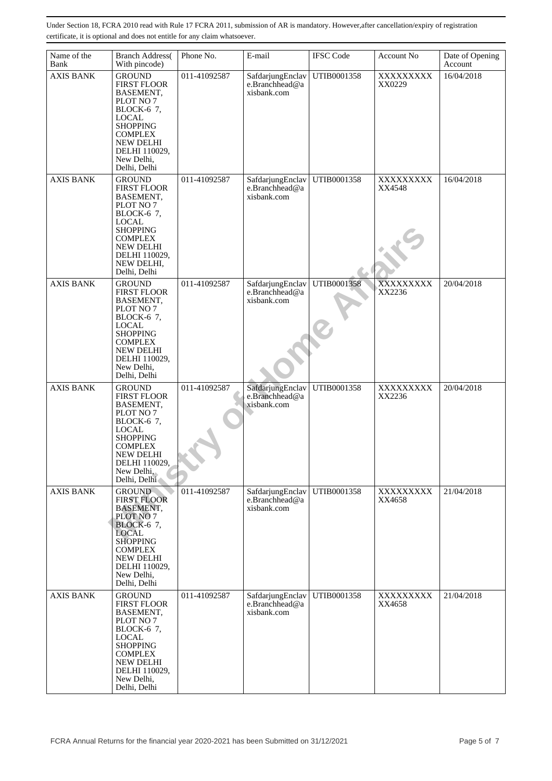| Name of the      |                                                                                                                                                                                                                   | Phone No.    | E-mail                                            |                  |                     |                            |
|------------------|-------------------------------------------------------------------------------------------------------------------------------------------------------------------------------------------------------------------|--------------|---------------------------------------------------|------------------|---------------------|----------------------------|
| Bank             | <b>Branch Address</b><br>With pincode)                                                                                                                                                                            |              |                                                   | <b>IFSC</b> Code | Account No          | Date of Opening<br>Account |
| <b>AXIS BANK</b> | <b>GROUND</b><br><b>FIRST FLOOR</b><br>BASEMENT,<br>PLOT NO 7<br>BLOCK-6 7,<br><b>LOCAL</b><br><b>SHOPPING</b><br><b>COMPLEX</b><br><b>NEW DELHI</b><br>DELHI 110029,<br>New Delhi,<br>Delhi, Delhi               | 011-41092587 | SafdarjungEnclav<br>e.Branchhead@a<br>xisbank.com | UTIB0001358      | XXXXXXXXX<br>XX0229 | 16/04/2018                 |
| <b>AXIS BANK</b> | <b>GROUND</b><br><b>FIRST FLOOR</b><br>BASEMENT,<br>PLOT NO 7<br>BLOCK-6 7,<br><b>LOCAL</b><br><b>SHOPPING</b><br><b>COMPLEX</b><br><b>NEW DELHI</b><br>DELHI 110029,<br>NEW DELHI,<br>Delhi, Delhi               | 011-41092587 | SafdarjungEnclav<br>e.Branchhead@a<br>xisbank.com | UTIB0001358      | XXXXXXXXX<br>XX4548 | 16/04/2018                 |
| <b>AXIS BANK</b> | <b>GROUND</b><br><b>FIRST FLOOR</b><br>BASEMENT,<br>PLOT NO 7<br>BLOCK-6 7,<br><b>LOCAL</b><br><b>SHOPPING</b><br><b>COMPLEX</b><br>NEW DELHI<br>DELHI 110029,<br>New Delhi,<br>Delhi, Delhi                      | 011-41092587 | SafdarjungEnclav<br>e.Branchhead@a<br>xisbank.com | UTIB0001358      | XXXXXXXXX<br>XX2236 | 20/04/2018                 |
| <b>AXIS BANK</b> | <b>GROUND</b><br><b>FIRST FLOOR</b><br>BASEMENT,<br>PLOT NO 7<br>BLOCK-6 7,<br><b>LOCAL</b><br><b>SHOPPING</b><br><b>COMPLEX</b><br><b>NEW DELHI</b><br>DELHI 110029,<br>New Delhi,<br>Delhi, Delhi               | 011-41092587 | SafdarjungEnclav<br>e.Branchhead@a<br>xisbank.com | UTIB0001358      | XXXXXXXXX<br>XX2236 | 20/04/2018                 |
| <b>AXIS BANK</b> | <b>GROUND</b><br><b>FIRST FLOOR</b><br><b>BASEMENT,</b><br>PLOT NO 7<br><b>BLOCK-6 7,</b><br><b>LOCAL</b><br><b>SHOPPING</b><br><b>COMPLEX</b><br><b>NEW DELHI</b><br>DELHI 110029,<br>New Delhi,<br>Delhi, Delhi | 011-41092587 | SafdarjungEnclav<br>e.Branchhead@a<br>xisbank.com | UTIB0001358      | XXXXXXXX<br>XX4658  | 21/04/2018                 |
| <b>AXIS BANK</b> | <b>GROUND</b><br><b>FIRST FLOOR</b><br>BASEMENT,<br>PLOT NO 7<br>BLOCK-6 7,<br><b>LOCAL</b><br><b>SHOPPING</b><br><b>COMPLEX</b><br><b>NEW DELHI</b><br>DELHI 110029,<br>New Delhi,<br>Delhi, Delhi               | 011-41092587 | SafdarjungEnclav<br>e.Branchhead@a<br>xisbank.com | UTIB0001358      | XXXXXXXXX<br>XX4658 | 21/04/2018                 |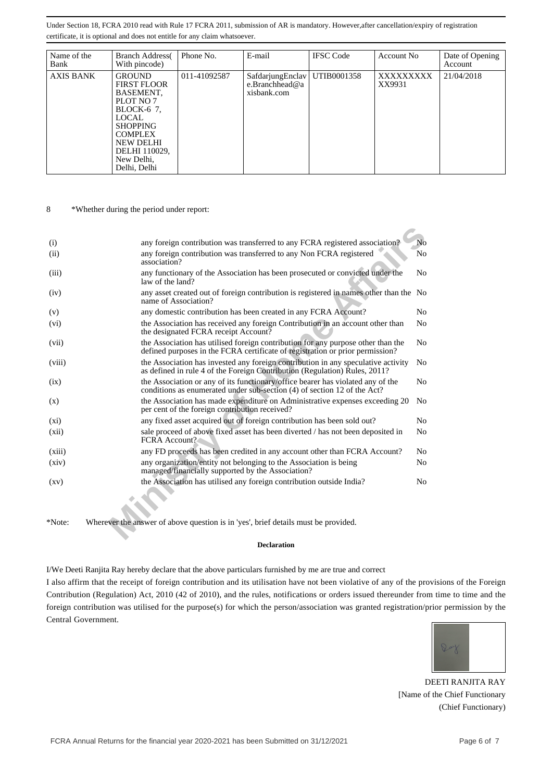| Name of the<br>Bank | <b>Branch Address</b><br>With pincode)                                                                                                                                                | Phone No.    | E-mail                                                          | <b>IFSC</b> Code | Account No          | Date of Opening<br>Account |
|---------------------|---------------------------------------------------------------------------------------------------------------------------------------------------------------------------------------|--------------|-----------------------------------------------------------------|------------------|---------------------|----------------------------|
| <b>AXIS BANK</b>    | <b>GROUND</b><br><b>FIRST FLOOR</b><br>BASEMENT,<br>PLOT NO 7<br>BLOCK-6 7.<br>LOCAL<br><b>SHOPPING</b><br><b>COMPLEX</b><br>NEW DELHI<br>DELHI 110029,<br>New Delhi,<br>Delhi, Delhi | 011-41092587 | SafdarjungEnclav   UTIB0001358<br>e.Branchhead@a<br>xisbank.com |                  | XXXXXXXXX<br>XX9931 | 21/04/2018                 |

8 \*Whether during the period under report:

| (i)                | any foreign contribution was transferred to any FCRA registered association?                                                                                      | No             |
|--------------------|-------------------------------------------------------------------------------------------------------------------------------------------------------------------|----------------|
| (ii)               | any foreign contribution was transferred to any Non FCRA registered<br>association?                                                                               | N <sub>0</sub> |
| (iii)              | any functionary of the Association has been prosecuted or convicted under the<br>law of the land?                                                                 | N <sub>0</sub> |
| (iv)               | any asset created out of foreign contribution is registered in names other than the No<br>name of Association?                                                    |                |
| (v)                | any domestic contribution has been created in any FCRA Account?                                                                                                   | N <sub>0</sub> |
| (vi)               | the Association has received any foreign Contribution in an account other than<br>the designated FCRA receipt Account?                                            | No             |
| (vii)              | the Association has utilised foreign contribution for any purpose other than the<br>defined purposes in the FCRA certificate of registration or prior permission? | No             |
| (viii)             | the Association has invested any foreign contribution in any speculative activity<br>as defined in rule 4 of the Foreign Contribution (Regulation) Rules, 2011?   | N <sub>0</sub> |
| (ix)               | the Association or any of its functionary/office bearer has violated any of the<br>conditions as enumerated under sub-section (4) of section 12 of the Act?       | N <sub>0</sub> |
| (x)                | the Association has made expenditure on Administrative expenses exceeding 20<br>per cent of the foreign contribution received?                                    | No             |
| $(x_i)$            | any fixed asset acquired out of foreign contribution has been sold out?                                                                                           | N <sub>0</sub> |
| (xii)              | sale proceed of above fixed asset has been diverted / has not been deposited in<br><b>FCRA</b> Account?                                                           | N <sub>0</sub> |
| (xiii)             | any FD proceeds has been credited in any account other than FCRA Account?                                                                                         | No             |
| (xiv)              | any organization/entity not belonging to the Association is being<br>managed/financially supported by the Association?                                            | N <sub>0</sub> |
| $\left( xy\right)$ | the Association has utilised any foreign contribution outside India?                                                                                              | No             |
| *Note:             | Wherever the answer of above question is in 'yes', brief details must be provided.                                                                                |                |

#### **Declaration**

I/We Deeti Ranjita Ray hereby declare that the above particulars furnished by me are true and correct

I also affirm that the receipt of foreign contribution and its utilisation have not been violative of any of the provisions of the Foreign Contribution (Regulation) Act, 2010 (42 of 2010), and the rules, notifications or orders issued thereunder from time to time and the foreign contribution was utilised for the purpose(s) for which the person/association was granted registration/prior permission by the Central Government.



DEETI RANJITA RAY [Name of the Chief Functionary (Chief Functionary)